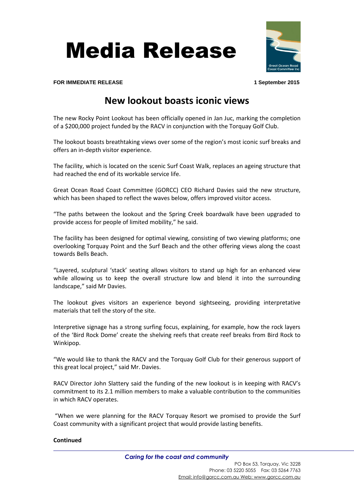Media Release



**FOR IMMEDIATE RELEASE 1 September 2015**

## **New lookout boasts iconic views**

The new Rocky Point Lookout has been officially opened in Jan Juc, marking the completion of a \$200,000 project funded by the RACV in conjunction with the Torquay Golf Club.

The lookout boasts breathtaking views over some of the region's most iconic surf breaks and offers an in-depth visitor experience.

The facility, which is located on the scenic Surf Coast Walk, replaces an ageing structure that had reached the end of its workable service life.

Great Ocean Road Coast Committee (GORCC) CEO Richard Davies said the new structure, which has been shaped to reflect the waves below, offers improved visitor access.

"The paths between the lookout and the Spring Creek boardwalk have been upgraded to provide access for people of limited mobility," he said.

The facility has been designed for optimal viewing, consisting of two viewing platforms; one overlooking Torquay Point and the Surf Beach and the other offering views along the coast towards Bells Beach.

"Layered, sculptural 'stack' seating allows visitors to stand up high for an enhanced view while allowing us to keep the overall structure low and blend it into the surrounding landscape," said Mr Davies.

The lookout gives visitors an experience beyond sightseeing, providing interpretative materials that tell the story of the site.

Interpretive signage has a strong surfing focus, explaining, for example, how the rock layers of the 'Bird Rock Dome' create the shelving reefs that create reef breaks from Bird Rock to Winkipop.

"We would like to thank the RACV and the Torquay Golf Club for their generous support of this great local project," said Mr. Davies.

RACV Director John Slattery said the funding of the new lookout is in keeping with RACV's commitment to its 2.1 million members to make a valuable contribution to the communities in which RACV operates.

"When we were planning for the RACV Torquay Resort we promised to provide the Surf Coast community with a significant project that would provide lasting benefits.

## **Continued**